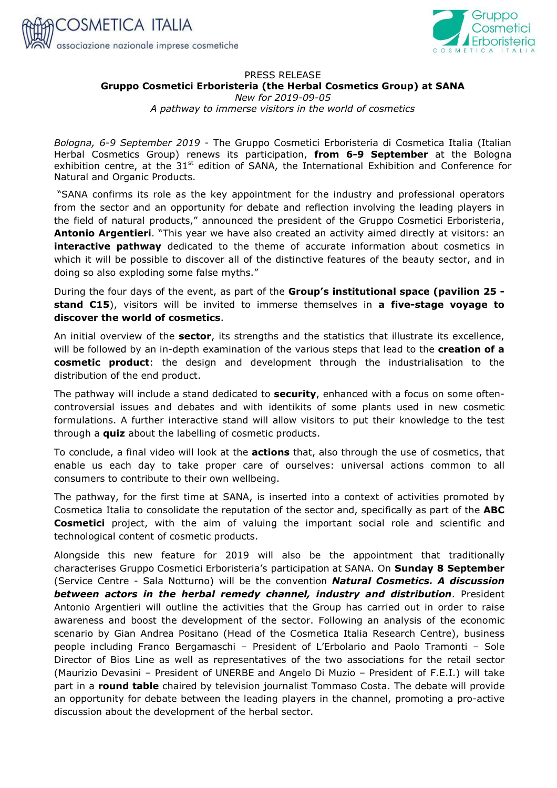



## PRESS RELEASE **Gruppo Cosmetici Erboristeria (the Herbal Cosmetics Group) at SANA**  *New for 2019-09-05*

*A pathway to immerse visitors in the world of cosmetics* 

*Bologna, 6-9 September 2019* - The Gruppo Cosmetici Erboristeria di Cosmetica Italia (Italian Herbal Cosmetics Group) renews its participation, **from 6-9 September** at the Bologna exhibition centre, at the  $31<sup>st</sup>$  edition of SANA, the International Exhibition and Conference for Natural and Organic Products.

 "SANA confirms its role as the key appointment for the industry and professional operators from the sector and an opportunity for debate and reflection involving the leading players in the field of natural products," announced the president of the Gruppo Cosmetici Erboristeria, **Antonio Argentieri**. "This year we have also created an activity aimed directly at visitors: an **interactive pathway** dedicated to the theme of accurate information about cosmetics in which it will be possible to discover all of the distinctive features of the beauty sector, and in doing so also exploding some false myths."

During the four days of the event, as part of the **Group's institutional space (pavilion 25 stand C15**), visitors will be invited to immerse themselves in **a five-stage voyage to discover the world of cosmetics**.

An initial overview of the **sector**, its strengths and the statistics that illustrate its excellence, will be followed by an in-depth examination of the various steps that lead to the **creation of a cosmetic product**: the design and development through the industrialisation to the distribution of the end product.

The pathway will include a stand dedicated to **security**, enhanced with a focus on some oftencontroversial issues and debates and with identikits of some plants used in new cosmetic formulations. A further interactive stand will allow visitors to put their knowledge to the test through a **quiz** about the labelling of cosmetic products.

To conclude, a final video will look at the **actions** that, also through the use of cosmetics, that enable us each day to take proper care of ourselves: universal actions common to all consumers to contribute to their own wellbeing.

The pathway, for the first time at SANA, is inserted into a context of activities promoted by Cosmetica Italia to consolidate the reputation of the sector and, specifically as part of the **ABC Cosmetici** project, with the aim of valuing the important social role and scientific and technological content of cosmetic products.

Alongside this new feature for 2019 will also be the appointment that traditionally characterises Gruppo Cosmetici Erboristeria's participation at SANA. On **Sunday 8 September**  (Service Centre - Sala Notturno) will be the convention *Natural Cosmetics. A discussion between actors in the herbal remedy channel, industry and distribution*. President Antonio Argentieri will outline the activities that the Group has carried out in order to raise awareness and boost the development of the sector. Following an analysis of the economic scenario by Gian Andrea Positano (Head of the Cosmetica Italia Research Centre), business people including Franco Bergamaschi – President of L'Erbolario and Paolo Tramonti – Sole Director of Bios Line as well as representatives of the two associations for the retail sector (Maurizio Devasini – President of UNERBE and Angelo Di Muzio – President of F.E.I.) will take part in a **round table** chaired by television journalist Tommaso Costa. The debate will provide an opportunity for debate between the leading players in the channel, promoting a pro-active discussion about the development of the herbal sector.